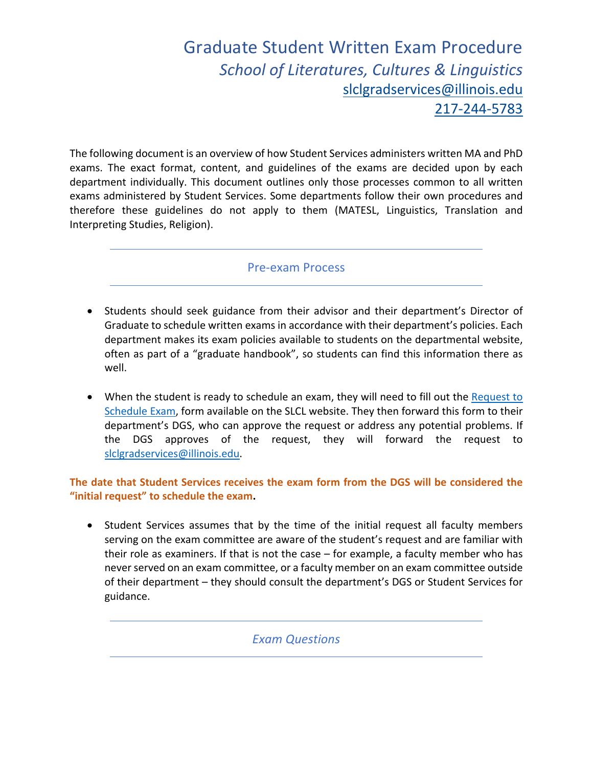## Graduate Student Written Exam Procedure *School of Literatures, Cultures & Linguistics* slclgradservices@illinois.edu 217-244-5783

The following document is an overview of how Student Services administers written MA and PhD exams. The exact format, content, and guidelines of the exams are decided upon by each department individually. This document outlines only those processes common to all written exams administered by Student Services. Some departments follow their own procedures and therefore these guidelines do not apply to them (MATESL, Linguistics, Translation and Interpreting Studies, Religion).

## Pre-exam Process

- Students should seek guidance from their advisor and their department's Director of Graduate to schedule written exams in accordance with their department's policies. Each department makes its exam policies available to students on the departmental website, often as part of a "graduate handbook", so students can find this information there as well.
- When the student is ready to schedule an exam, they will need to fill out the Request to Schedule Exam, form available on the SLCL website. They then forward this form to their department's DGS, who can approve the request or address any potential problems. If the DGS approves of the request, they will forward the request to slclgradservices@illinois.edu.

## **The date that Student Services receives the exam form from the DGS will be considered the "initial request" to schedule the exam.**

• Student Services assumes that by the time of the initial request all faculty members serving on the exam committee are aware of the student's request and are familiar with their role as examiners. If that is not the case – for example, a faculty member who has never served on an exam committee, or a faculty member on an exam committee outside of their department – they should consult the department's DGS or Student Services for guidance.

*Exam Questions*